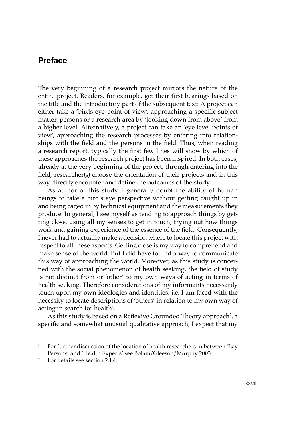## **Preface**

The very beginning of a research project mirrors the nature of the entire project. Readers, for example, get their first bearings based on the title and the introductory part of the subsequent text: A project can either take a 'birds eye point of view', approaching a specific subject matter, persons or a research area by 'looking down from above' from a higher level. Alternatively, a project can take an 'eye level points of view', approaching the research processes by entering into relationships with the field and the persons in the field. Thus, when reading a research report, typically the first few lines will show by which of these approaches the research project has been inspired. In both cases, already at the very beginning of the project, through entering into the field, researcher(s) choose the orientation of their projects and in this way directly encounter and define the outcomes of the study.

As author of this study, I generally doubt the ability of human beings to take a bird's eye perspective without getting caught up in and being caged in by technical equipment and the measurements they produce. In general, I see myself as tending to approach things by getting close, using all my senses to get in touch, trying out how things work and gaining experience of the essence of the field. Consequently, I never had to actually make a decision where to locate this project with respect to all these aspects. Getting close is my way to comprehend and make sense of the world. But I did have to find a way to communicate this way of approaching the world. Moreover, as this study is concerned with the social phenomenon of health seeking, the field of study is not distinct from or 'other' to my own ways of acting in terms of health seeking. Therefore considerations of my informants necessarily touch upon my own ideologies and identities, i.e. I am faced with the necessity to locate descriptions of 'others' in relation to my own way of acting in search for health $^{\rm 1}.$ 

As this study is based on a Reflexive Grounded Theory approach<sup>2</sup>, a specific and somewhat unusual qualitative approach, I expect that my

<sup>1</sup> For further discussion of the location of health researchers in between 'Lay Persons' and 'Health Experts' see Bolam/Gleeson/Murphy 2003

<sup>2</sup> For details see section 2.1.4.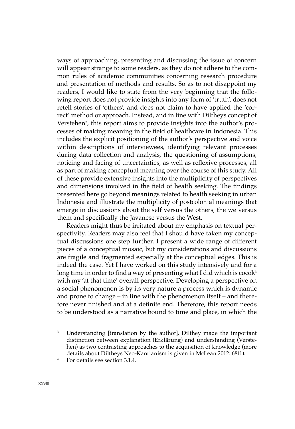ways of approaching, presenting and discussing the issue of concern will appear strange to some readers, as they do not adhere to the common rules of academic communities concerning research procedure and presentation of methods and results. So as to not disappoint my readers, I would like to state from the very beginning that the following report does not provide insights into any form of 'truth', does not retell stories of 'others', and does not claim to have applied the 'correct' method or approach. Instead, and in line with Diltheys concept of Verstehen3 , this report aims to provide insights into the author's processes of making meaning in the field of healthcare in Indonesia. This includes the explicit positioning of the author's perspective and voice within descriptions of interviewees, identifying relevant processes during data collection and analysis, the questioning of assumptions, noticing and facing of uncertainties, as well as reflexive processes, all as part of making conceptual meaning over the course of this study. All of these provide extensive insights into the multiplicity of perspectives and dimensions involved in the field of health seeking. The findings presented here go beyond meanings related to health seeking in urban Indonesia and illustrate the multiplicity of postcolonial meanings that emerge in discussions about the self versus the others, the we versus them and specifically the Javanese versus the West.

Readers might thus be irritated about my emphasis on textual perspectivity. Readers may also feel that I should have taken my conceptual discussions one step further. I present a wide range of different pieces of a conceptual mosaic, but my considerations and discussions are fragile and fragmented especially at the conceptual edges. This is indeed the case. Yet I have worked on this study intensively and for a long time in order to find a way of presenting what I did which is cocok<sup>4</sup> with my 'at that time' overall perspective. Developing a perspective on a social phenomenon is by its very nature a process which is dynamic and prone to change – in line with the phenomenon itself – and therefore never finished and at a definite end. Therefore, this report needs to be understood as a narrative bound to time and place, in which the

<sup>3</sup> Understanding [translation by the author]. Dilthey made the important distinction between explanation (Erklärung) and understanding (Verstehen) as two contrasting approaches to the acquisition of knowledge (more details about Diltheys Neo-Kantianism is given in McLean 2012: 68ff.).

For details see section 3.1.4.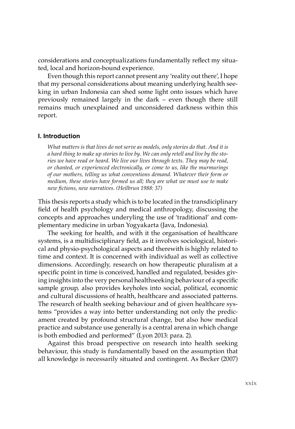considerations and conceptualizations fundamentally reflect my situated, local and horizon-bound experience.

Even though this report cannot present any 'reality out there', I hope that my personal considerations about meaning underlying health seeking in urban Indonesia can shed some light onto issues which have previously remained largely in the dark – even though there still remains much unexplained and unconsidered darkness within this report.

## **I. Introduction**

*What matters is that lives do not serve as models, only stories do that. And it is a hard thing to make up stories to live by. We can only retell and live by the stories we have read or heard. We live our lives through texts. They may be read, or chanted, or experienced electronically, or come to us, like the murmurings of our mothers, telling us what conventions demand. Whatever their form or medium, these stories have formed us all; they are what we must use to make new fictions, new narratives. (Heilbrun 1988: 37)*

This thesis reports a study which is to be located in the transdiciplinary field of health psychology and medical anthropology, discussing the concepts and approaches underyling the use of 'traditional' and complementary medicine in urban Yogyakarta (Java, Indonesia).

The seeking for health, and with it the organisation of healthcare systems, is a multidisciplinary field, as it involves sociological, historical and physio-psychological aspects and therewith is highly related to time and context. It is concerned with individual as well as collective dimensions. Accordingly, research on how therapeutic pluralism at a specific point in time is conceived, handled and regulated, besides giving insights into the very personal healthseeking behaviour of a specific sample group, also provides keyholes into social, political, economic and cultural discussions of health, healthcare and associated patterns. The research of health seeking behaviour and of given healthcare systems "provides a way into better understanding not only the predicament created by profound structural change, but also how medical practice and substance use generally is a central arena in which change is both embodied and performed" (Lyon 2013: para. 2).

Against this broad perspective on research into health seeking behaviour, this study is fundamentally based on the assumption that all knowledge is necessarily situated and contingent. As Becker (2007)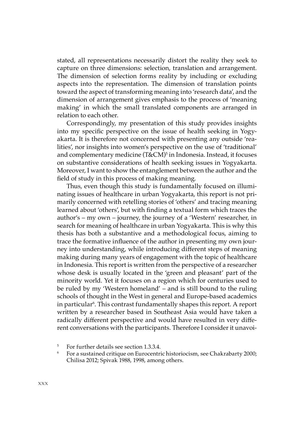stated, all representations necessarily distort the reality they seek to capture on three dimensions: selection, translation and arrangement. The dimension of selection forms reality by including or excluding aspects into the representation. The dimension of translation points toward the aspect of transforming meaning into 'research data', and the dimension of arrangement gives emphasis to the process of 'meaning making' in which the small translated components are arranged in relation to each other.

Correspondingly, my presentation of this study provides insights into my specific perspective on the issue of health seeking in Yogyakarta. It is therefore not concerned with presenting any outside 'realities', nor insights into women's perspective on the use of 'traditional' and complementary medicine (T&CM)<sup>5</sup> in Indonesia. Instead, it focuses on substantive considerations of health seeking issues in Yogyakarta. Moreover, I want to show the entanglement between the author and the field of study in this process of making meaning.

Thus, even though this study is fundamentally focused on illuminating issues of healthcare in urban Yogyakarta, this report is not primarily concerned with retelling stories of 'others' and tracing meaning learned about 'others', but with finding a textual form which traces the author's – my own – journey, the journey of a 'Western' researcher, in search for meaning of healthcare in urban Yogyakarta. This is why this thesis has both a substantive and a methodological focus, aiming to trace the formative influence of the author in presenting my own journey into understanding, while introducing different steps of meaning making during many years of engagement with the topic of healthcare in Indonesia. This report is written from the perspective of a researcher whose desk is usually located in the 'green and pleasant' part of the minority world. Yet it focuses on a region which for centuries used to be ruled by my 'Western homeland' – and is still bound to the ruling schools of thought in the West in general and Europe-based academics in particular<sup>6</sup>. This contrast fundamentally shapes this report. A report written by a researcher based in Southeast Asia would have taken a radically different perspective and would have resulted in very different conversations with the participants. Therefore I consider it unavoi-

<sup>5</sup> For further details see section 1.3.3.4.

<sup>6</sup> For a sustained critique on Eurocentric historiocism, see Chakrabarty 2000; Chilisa 2012; Spivak 1988, 1998, among others.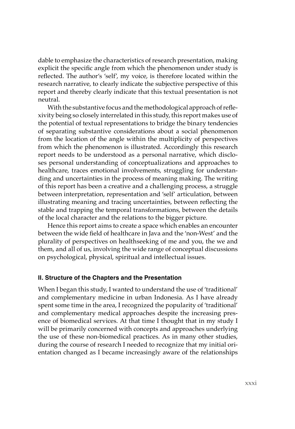dable to emphasize the characteristics of research presentation, making explicit the specific angle from which the phenomenon under study is reflected. The author's 'self', my voice, is therefore located within the research narrative, to clearly indicate the subjective perspective of this report and thereby clearly indicate that this textual presentation is not neutral.

With the substantive focus and the methodological approach of reflexivity being so closely interrelated in this study, this report makes use of the potential of textual representations to bridge the binary tendencies of separating substantive considerations about a social phenomenon from the location of the angle within the multiplicity of perspectives from which the phenomenon is illustrated. Accordingly this research report needs to be understood as a personal narrative, which discloses personal understanding of conceptualizations and approaches to healthcare, traces emotional involvements, struggling for understanding and uncertainties in the process of meaning making. The writing of this report has been a creative and a challenging process, a struggle between interpretation, representation and 'self' articulation, between illustrating meaning and tracing uncertainties, between reflecting the stable and trapping the temporal transformations, between the details of the local character and the relations to the bigger picture.

Hence this report aims to create a space which enables an encounter between the wide field of healthcare in Java and the 'non-West' and the plurality of perspectives on healthseeking of me and you, the we and them, and all of us, involving the wide range of conceptual discussions on psychological, physical, spiritual and intellectual issues.

## **II. Structure of the Chapters and the Presentation**

When I began this study, I wanted to understand the use of 'traditional' and complementary medicine in urban Indonesia. As I have already spent some time in the area, I recognized the popularity of 'traditional' and complementary medical approaches despite the increasing presence of biomedical services. At that time I thought that in my study I will be primarily concerned with concepts and approaches underlying the use of these non-biomedical practices. As in many other studies, during the course of research I needed to recognize that my initial orientation changed as I became increasingly aware of the relationships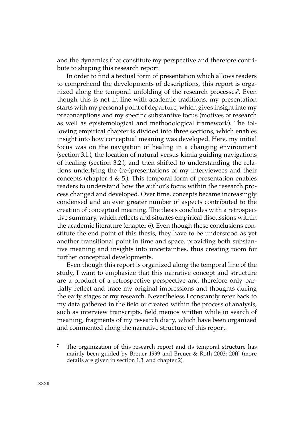and the dynamics that constitute my perspective and therefore contribute to shaping this research report.

In order to find a textual form of presentation which allows readers to comprehend the developments of descriptions, this report is organized along the temporal unfolding of the research processes<sup>7</sup>. Even though this is not in line with academic traditions, my presentation starts with my personal point of departure, which gives insight into my preconceptions and my specific substantive focus (motives of research as well as epistemological and methodological framework). The following empirical chapter is divided into three sections, which enables insight into how conceptual meaning was developed. Here, my initial focus was on the navigation of healing in a changing environment (section 3.1.), the location of natural versus kimia guiding navigations of healing (section 3.2.), and then shifted to understanding the relations underlying the (re-)presentations of my interviewees and their concepts (chapter  $4 \& 5$ .). This temporal form of presentation enables readers to understand how the author's focus within the research process changed and developed. Over time, concepts became increasingly condensed and an ever greater number of aspects contributed to the creation of conceptual meaning. The thesis concludes with a retrospective summary, which reflects and situates empirical discussions within the academic literature (chapter 6). Even though these conclusions constitute the end point of this thesis, they have to be understood as yet another transitional point in time and space, providing both substantive meaning and insights into uncertainties, thus creating room for further conceptual developments.

Even though this report is organized along the temporal line of the study, I want to emphasize that this narrative concept and structure are a product of a retrospective perspective and therefore only partially reflect and trace my original impressions and thoughts during the early stages of my research. Nevertheless I constantly refer back to my data gathered in the field or created within the process of analysis, such as interview transcripts, field memos written while in search of meaning, fragments of my research diary, which have been organized and commented along the narrative structure of this report.

<sup>&</sup>lt;sup>7</sup> The organization of this research report and its temporal structure has mainly been guided by Breuer 1999 and Breuer & Roth 2003: 20ff. (more details are given in section 1.3. and chapter 2).